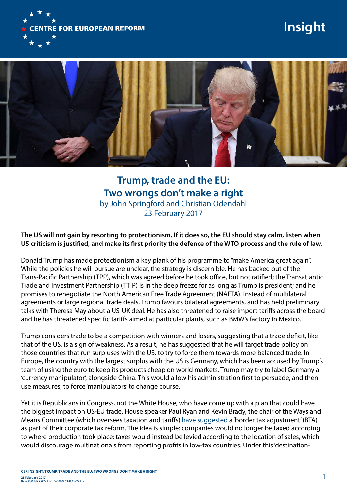

# **Insight**



**Trump, trade and the EU: Two wrongs don't make a right** by John Springford and Christian Odendahl 23 February 2017

**The US will not gain by resorting to protectionism. If it does so, the EU should stay calm, listen when US criticism is justified, and make its first priority the defence of the WTO process and the rule of law.**

Donald Trump has made protectionism a key plank of his programme to "make America great again". While the policies he will pursue are unclear, the strategy is discernible. He has backed out of the Trans-Pacific Partnership (TPP), which was agreed before he took office, but not ratified; the Transatlantic Trade and Investment Partnership (TTIP) is in the deep freeze for as long as Trump is president; and he promises to renegotiate the North American Free Trade Agreement (NAFTA). Instead of multilateral agreements or large regional trade deals, Trump favours bilateral agreements, and has held preliminary talks with Theresa May about a US-UK deal. He has also threatened to raise import tariffs across the board and he has threatened specific tariffs aimed at particular plants, such as BMW's factory in Mexico.

Trump considers trade to be a competition with winners and losers, suggesting that a trade deficit, like that of the US, is a sign of weakness. As a result, he has suggested that he will target trade policy on those countries that run surpluses with the US, to try to force them towards more balanced trade. In Europe, the country with the largest surplus with the US is Germany, which has been accused by Trump's team of using the euro to keep its products cheap on world markets. Trump may try to label Germany a 'currency manipulator', alongside China. This would allow his administration first to persuade, and then use measures, to force 'manipulators' to change course.

Yet it is Republicans in Congress, not the White House, who have come up with a plan that could have the biggest impact on US-EU trade. House speaker Paul Ryan and Kevin Brady, the chair of the Ways and Means Committee (which oversees taxation and tariffs) [have suggested](https://abetterway.speaker.gov/_assets/pdf/ABetterWay-Tax-PolicyPaper.pdf) a 'border tax adjustment' (BTA) as part of their corporate tax reform. The idea is simple: companies would no longer be taxed according to where production took place; taxes would instead be levied according to the location of sales, which would discourage multinationals from reporting profits in low-tax countries. Under this 'destination-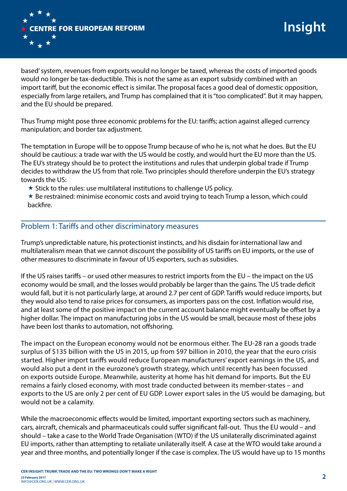

based' system, revenues from exports would no longer be taxed, whereas the costs of imported goods would no longer be tax-deductible. This is not the same as an export subsidy combined with an import tariff, but the economic effect is similar. The proposal faces a good deal of domestic opposition, especially from large retailers, and Trump has complained that it is "too complicated". But it may happen, and the EU should be prepared.

Thus Trump might pose three economic problems for the EU: tariffs; action against alleged currency manipulation; and border tax adjustment.

The temptation in Europe will be to oppose Trump because of who he is, not what he does. But the EU should be cautious: a trade war with the US would be costly, and would hurt the EU more than the US. The EU's strategy should be to protect the institutions and rules that underpin global trade if Trump decides to withdraw the US from that role. Two principles should therefore underpin the EU's strategy towards the US:

 $\star$  Stick to the rules: use multilateral institutions to challenge US policy.

 $\star$  Be restrained: minimise economic costs and avoid trying to teach Trump a lesson, which could backfire.

## Problem 1: Tariffs and other discriminatory measures

Trump's unpredictable nature, his protectionist instincts, and his disdain for international law and multilateralism mean that we cannot discount the possibility of US tariffs on EU imports, or the use of other measures to discriminate in favour of US exporters, such as subsidies.

If the US raises tariffs – or used other measures to restrict imports from the EU – the impact on the US economy would be small, and the losses would probably be larger than the gains. The US trade deficit would fall, but it is not particularly large, at around 2.7 per cent of GDP. Tariffs would reduce imports, but they would also tend to raise prices for consumers, as importers pass on the cost. Inflation would rise, and at least some of the positive impact on the current account balance might eventually be offset by a higher dollar. The impact on manufacturing jobs in the US would be small, because most of these jobs have been lost thanks to automation, not offshoring.

The impact on the European economy would not be enormous either. The EU-28 ran a goods trade surplus of \$135 billion with the US in 2015, up from \$97 billion in 2010, the year that the euro crisis started. Higher import tariffs would reduce European manufacturers' export earnings in the US, and would also put a dent in the eurozone's growth strategy, which until recently has been focussed on exports outside Europe. Meanwhile, austerity at home has hit demand for imports. But the EU remains a fairly closed economy, with most trade conducted between its member-states – and exports to the US are only 2 per cent of EU GDP. Lower export sales in the US would be damaging, but would not be a calamity.

While the macroeconomic effects would be limited, important exporting sectors such as machinery, cars, aircraft, chemicals and pharmaceuticals could suffer significant fall-out. Thus the EU would – and should – take a case to the World Trade Organisation (WTO) if the US unilaterally discriminated against EU imports, rather than attempting to retaliate unilaterally itself. A case at the WTO would take around a year and three months, and potentially longer if the case is complex. The US would have up to 15 months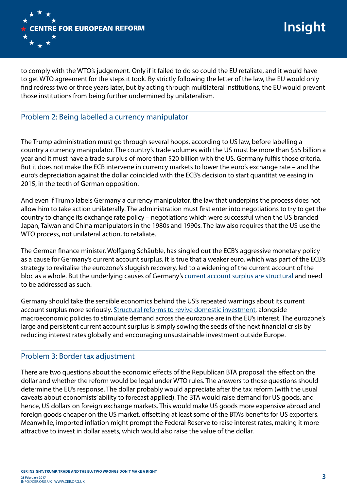

to comply with the WTO's judgement. Only if it failed to do so could the EU retaliate, and it would have to get WTO agreement for the steps it took. By strictly following the letter of the law, the EU would only find redress two or three years later, but by acting through multilateral institutions, the EU would prevent those institutions from being further undermined by unilateralism.

# Problem 2: Being labelled a currency manipulator

The Trump administration must go through several hoops, according to US law, before labelling a country a currency manipulator. The country's trade volumes with the US must be more than \$55 billion a year and it must have a trade surplus of more than \$20 billion with the US. Germany fulfils those criteria. But it does not make the ECB intervene in currency markets to lower the euro's exchange rate – and the euro's depreciation against the dollar coincided with the ECB's decision to start quantitative easing in 2015, in the teeth of German opposition.

And even if Trump labels Germany a currency manipulator, the law that underpins the process does not allow him to take action unilaterally. The administration must first enter into negotiations to try to get the country to change its exchange rate policy – negotiations which were successful when the US branded Japan, Taiwan and China manipulators in the 1980s and 1990s. The law also requires that the US use the WTO process, not unilateral action, to retaliate.

The German finance minister, Wolfgang Schäuble, has singled out the ECB's aggressive monetary policy as a cause for Germany's current account surplus. It is true that a weaker euro, which was part of the ECB's strategy to revitalise the eurozone's sluggish recovery, led to a widening of the current account of the bloc as a whole. But the underlying causes of Germany's [current account surplus are structural](https://www.cer.org.uk/publications/archive/policy-brief/2015/germany-rebalancing-waiting-godot) and need to be addressed as such.

Germany should take the sensible economics behind the US's repeated warnings about its current account surplus more seriously. [Structural reforms to revive domestic investment](https://www.cer.org.uk/insights/more-investment-germany%25E2%2580%2599s-sake), alongside macroeconomic policies to stimulate demand across the eurozone are in the EU's interest. The eurozone's large and persistent current account surplus is simply sowing the seeds of the next financial crisis by reducing interest rates globally and encouraging unsustainable investment outside Europe.

## Problem 3: Border tax adjustment

There are two questions about the economic effects of the Republican BTA proposal: the effect on the dollar and whether the reform would be legal under WTO rules. The answers to those questions should determine the EU's response. The dollar probably would appreciate after the tax reform (with the usual caveats about economists' ability to forecast applied). The BTA would raise demand for US goods, and hence, US dollars on foreign exchange markets. This would make US goods more expensive abroad and foreign goods cheaper on the US market, offsetting at least some of the BTA's benefits for US exporters. Meanwhile, imported inflation might prompt the Federal Reserve to raise interest rates, making it more attractive to invest in dollar assets, which would also raise the value of the dollar.